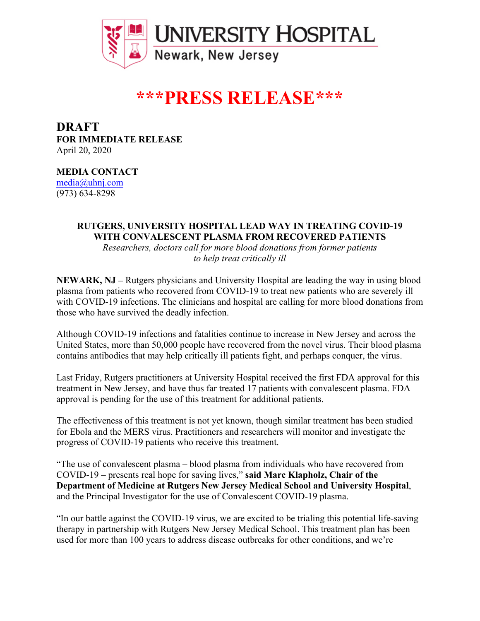

## **\*\*\*PRESS RELEASE\*\*\***

**DRAFT FOR IMMEDIATE RELEASE** April 20, 2020

**MEDIA CONTACT**

media@uhnj.com (973) 634-8298

## **RUTGERS, UNIVERSITY HOSPITAL LEAD WAY IN TREATING COVID-19 WITH CONVALESCENT PLASMA FROM RECOVERED PATIENTS**

*Researchers, doctors call for more blood donations from former patients to help treat critically ill*

**NEWARK, NJ –** Rutgers physicians and University Hospital are leading the way in using blood plasma from patients who recovered from COVID-19 to treat new patients who are severely ill with COVID-19 infections. The clinicians and hospital are calling for more blood donations from those who have survived the deadly infection.

Although COVID-19 infections and fatalities continue to increase in New Jersey and across the United States, more than 50,000 people have recovered from the novel virus. Their blood plasma contains antibodies that may help critically ill patients fight, and perhaps conquer, the virus.

Last Friday, Rutgers practitioners at University Hospital received the first FDA approval for this treatment in New Jersey, and have thus far treated 17 patients with convalescent plasma. FDA approval is pending for the use of this treatment for additional patients.

The effectiveness of this treatment is not yet known, though similar treatment has been studied for Ebola and the MERS virus. Practitioners and researchers will monitor and investigate the progress of COVID-19 patients who receive this treatment.

"The use of convalescent plasma – blood plasma from individuals who have recovered from COVID-19 – presents real hope for saving lives," **said Marc Klapholz, Chair of the Department of Medicine at Rutgers New Jersey Medical School and University Hospital**, and the Principal Investigator for the use of Convalescent COVID-19 plasma.

"In our battle against the COVID-19 virus, we are excited to be trialing this potential life-saving therapy in partnership with Rutgers New Jersey Medical School. This treatment plan has been used for more than 100 years to address disease outbreaks for other conditions, and we're